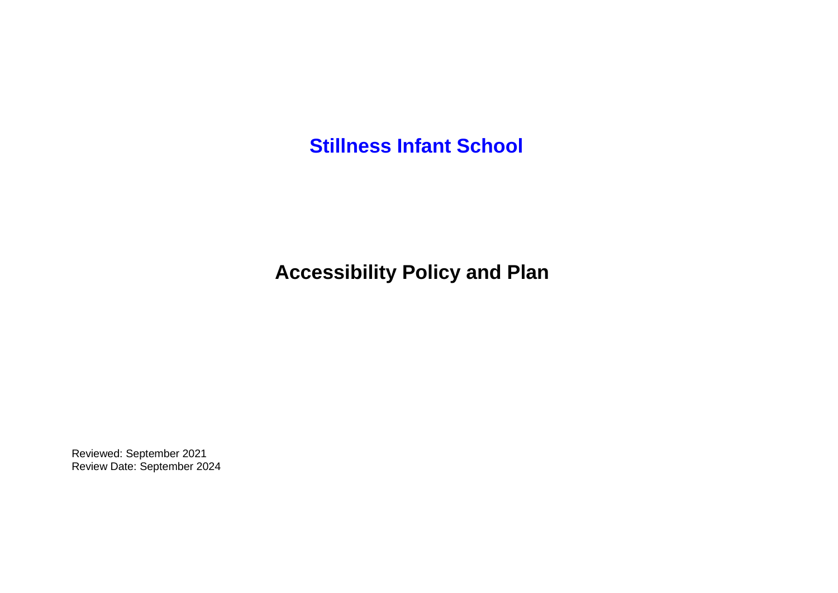**Stillness Infant School**

**Accessibility Policy and Plan**

Reviewed: September 2021 Review Date: September 2024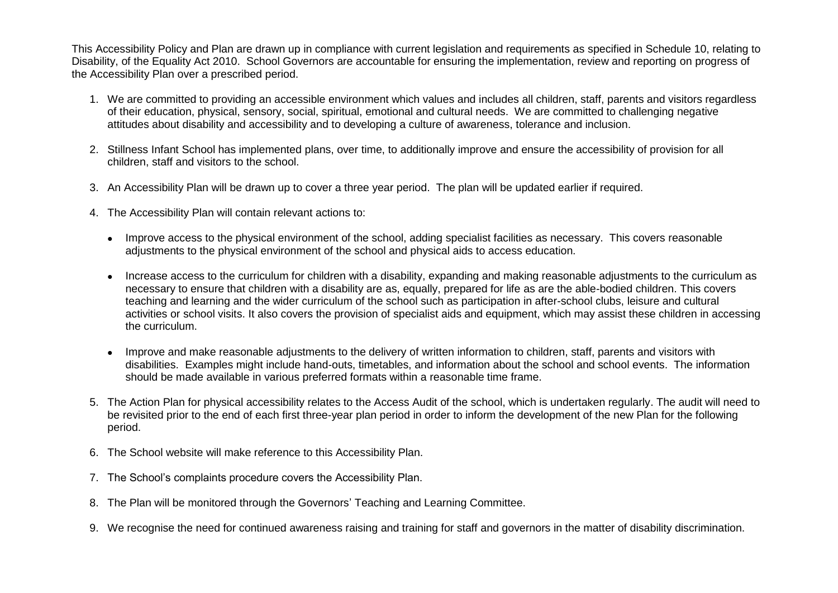This Accessibility Policy and Plan are drawn up in compliance with current legislation and requirements as specified in Schedule 10, relating to Disability, of the Equality Act 2010. School Governors are accountable for ensuring the implementation, review and reporting on progress of the Accessibility Plan over a prescribed period.

- 1. We are committed to providing an accessible environment which values and includes all children, staff, parents and visitors regardless of their education, physical, sensory, social, spiritual, emotional and cultural needs. We are committed to challenging negative attitudes about disability and accessibility and to developing a culture of awareness, tolerance and inclusion.
- 2. Stillness Infant School has implemented plans, over time, to additionally improve and ensure the accessibility of provision for all children, staff and visitors to the school.
- 3. An Accessibility Plan will be drawn up to cover a three year period. The plan will be updated earlier if required.
- 4. The Accessibility Plan will contain relevant actions to:
	- Improve access to the physical environment of the school, adding specialist facilities as necessary. This covers reasonable adjustments to the physical environment of the school and physical aids to access education.
	- Increase access to the curriculum for children with a disability, expanding and making reasonable adjustments to the curriculum as necessary to ensure that children with a disability are as, equally, prepared for life as are the able-bodied children. This covers teaching and learning and the wider curriculum of the school such as participation in after-school clubs, leisure and cultural activities or school visits. It also covers the provision of specialist aids and equipment, which may assist these children in accessing the curriculum.
	- Improve and make reasonable adjustments to the delivery of written information to children, staff, parents and visitors with disabilities. Examples might include hand-outs, timetables, and information about the school and school events. The information should be made available in various preferred formats within a reasonable time frame.
- 5. The Action Plan for physical accessibility relates to the Access Audit of the school, which is undertaken regularly. The audit will need to be revisited prior to the end of each first three-year plan period in order to inform the development of the new Plan for the following period.
- 6. The School website will make reference to this Accessibility Plan.
- 7. The School's complaints procedure covers the Accessibility Plan.
- 8. The Plan will be monitored through the Governors' Teaching and Learning Committee.
- 9. We recognise the need for continued awareness raising and training for staff and governors in the matter of disability discrimination.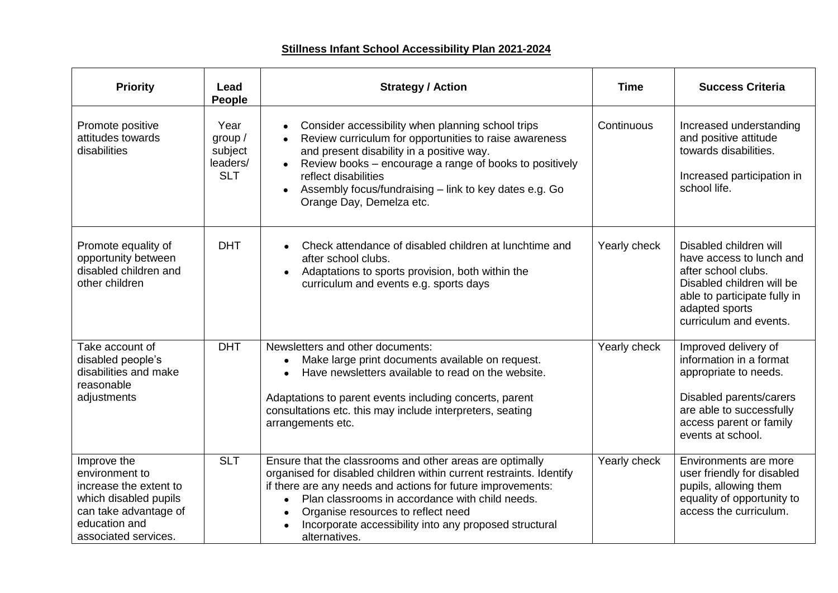| <b>Stillness Infant School Accessibility Plan 2021-2024</b> |  |
|-------------------------------------------------------------|--|
|                                                             |  |

| <b>Priority</b>                                                                                                                                    | Lead<br>People                                         | <b>Strategy / Action</b>                                                                                                                                                                                                                                                                                                                                                                     | <b>Time</b>  | <b>Success Criteria</b>                                                                                                                                                            |
|----------------------------------------------------------------------------------------------------------------------------------------------------|--------------------------------------------------------|----------------------------------------------------------------------------------------------------------------------------------------------------------------------------------------------------------------------------------------------------------------------------------------------------------------------------------------------------------------------------------------------|--------------|------------------------------------------------------------------------------------------------------------------------------------------------------------------------------------|
| Promote positive<br>attitudes towards<br>disabilities                                                                                              | Year<br>group $/$<br>subject<br>leaders/<br><b>SLT</b> | Consider accessibility when planning school trips<br>Review curriculum for opportunities to raise awareness<br>and present disability in a positive way.<br>Review books – encourage a range of books to positively<br>reflect disabilities<br>Assembly focus/fundraising – link to key dates e.g. Go<br>Orange Day, Demelza etc.                                                            | Continuous   | Increased understanding<br>and positive attitude<br>towards disabilities.<br>Increased participation in<br>school life.                                                            |
| Promote equality of<br>opportunity between<br>disabled children and<br>other children                                                              | <b>DHT</b>                                             | Check attendance of disabled children at lunchtime and<br>after school clubs.<br>Adaptations to sports provision, both within the<br>curriculum and events e.g. sports days                                                                                                                                                                                                                  | Yearly check | Disabled children will<br>have access to lunch and<br>after school clubs.<br>Disabled children will be<br>able to participate fully in<br>adapted sports<br>curriculum and events. |
| Take account of<br>disabled people's<br>disabilities and make<br>reasonable<br>adjustments                                                         | <b>DHT</b>                                             | Newsletters and other documents:<br>Make large print documents available on request.<br>$\bullet$<br>Have newsletters available to read on the website.<br>$\bullet$<br>Adaptations to parent events including concerts, parent<br>consultations etc. this may include interpreters, seating<br>arrangements etc.                                                                            | Yearly check | Improved delivery of<br>information in a format<br>appropriate to needs.<br>Disabled parents/carers<br>are able to successfully<br>access parent or family<br>events at school.    |
| Improve the<br>environment to<br>increase the extent to<br>which disabled pupils<br>can take advantage of<br>education and<br>associated services. | <b>SLT</b>                                             | Ensure that the classrooms and other areas are optimally<br>organised for disabled children within current restraints. Identify<br>if there are any needs and actions for future improvements:<br>Plan classrooms in accordance with child needs.<br>$\bullet$<br>Organise resources to reflect need<br>$\bullet$<br>Incorporate accessibility into any proposed structural<br>alternatives. | Yearly check | Environments are more<br>user friendly for disabled<br>pupils, allowing them<br>equality of opportunity to<br>access the curriculum.                                               |